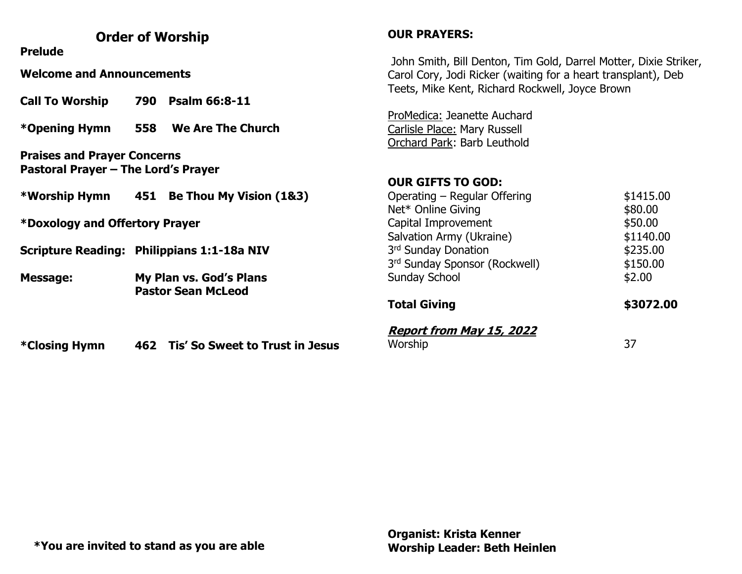## **Order of Worship**

**Prelude**

**Welcome and Announcements**

**Call To Worship 790 Psalm 66:8-11**

**\*Opening Hymn 558 We Are The Church**

**Praises and Prayer Concerns Pastoral Prayer – The Lord's Prayer**

**\*Worship Hymn 451 Be Thou My Vision (1&3)**

**\*Doxology and Offertory Prayer** 

**Scripture Reading: Philippians 1:1-18a NIV**

**Message: My Plan vs. God's Plans Pastor Sean McLeod**

**\*Closing Hymn 462 Tis' So Sweet to Trust in Jesus**

## **OUR PRAYERS:**

John Smith, Bill Denton, Tim Gold, Darrel Motter, Dixie Striker, Carol Cory, Jodi Ricker (waiting for a heart transplant), Deb Teets, Mike Kent, Richard Rockwell, Joyce Brown

ProMedica: Jeanette Auchard Carlisle Place: Mary Russell Orchard Park: Barb Leuthold

#### **OUR GIFTS TO GOD:**

| <b>Report from May 15, 2022</b>           |           |  |  |
|-------------------------------------------|-----------|--|--|
| <b>Total Giving</b>                       | \$3072.00 |  |  |
| <b>Sunday School</b>                      | \$2.00    |  |  |
| 3 <sup>rd</sup> Sunday Sponsor (Rockwell) | \$150.00  |  |  |
| 3 <sup>rd</sup> Sunday Donation           | \$235.00  |  |  |
| Salvation Army (Ukraine)                  | \$1140.00 |  |  |
| Capital Improvement                       | \$50.00   |  |  |
| Net* Online Giving                        | \$80.00   |  |  |
| Operating – Regular Offering              | \$1415.00 |  |  |

Worship 37